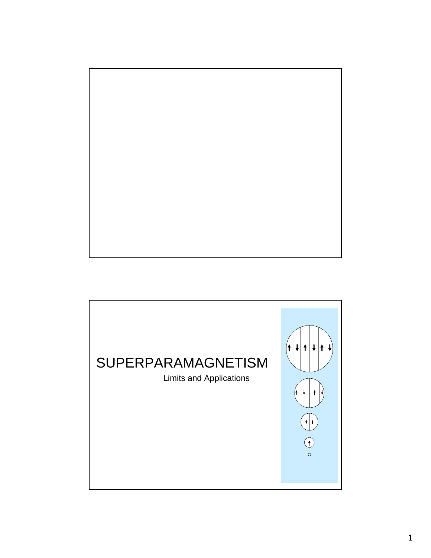

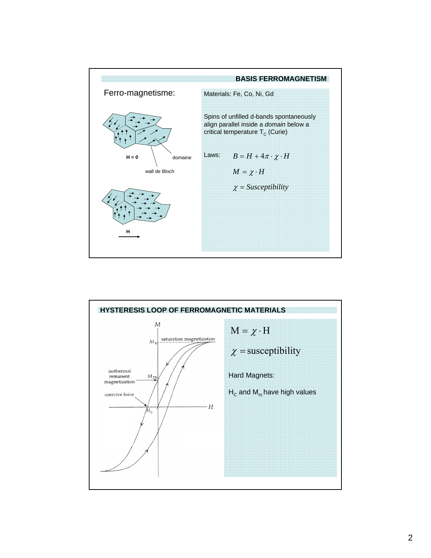

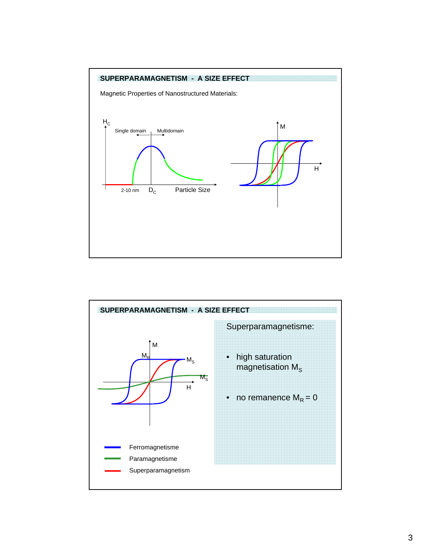

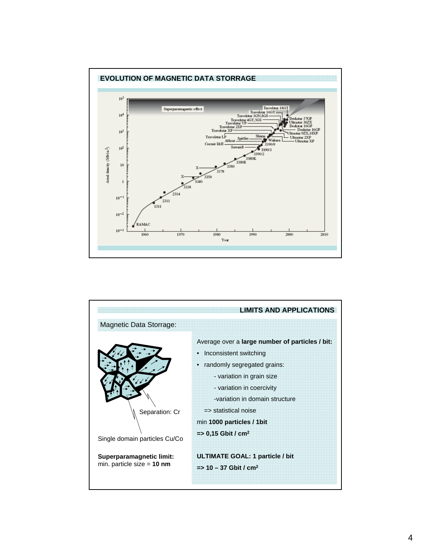

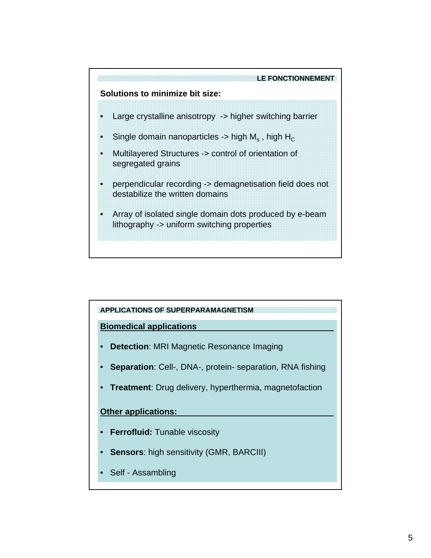

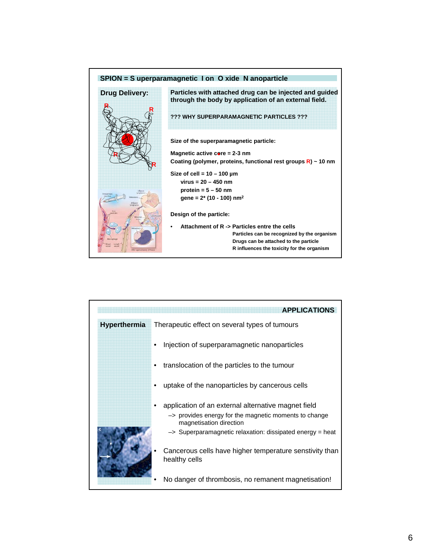

|              | <b>APPLICATIONS</b>                                                                         |
|--------------|---------------------------------------------------------------------------------------------|
| Hyperthermia | Therapeutic effect on several types of tumours                                              |
|              | Injection of superparamagnetic nanoparticles                                                |
|              | translocation of the particles to the tumour                                                |
|              | uptake of the nanoparticles by cancerous cells                                              |
|              | application of an external alternative magnet field                                         |
|              | $\rightarrow$ provides energy for the magnetic moments to change<br>magnetisation direction |
|              | $\rightarrow$ Superparamagnetic relaxation: dissipated energy = heat                        |
|              | Cancerous cells have higher temperature senstivity than<br>healthy cells                    |
|              | No danger of thrombosis, no remanent magnetisation!                                         |